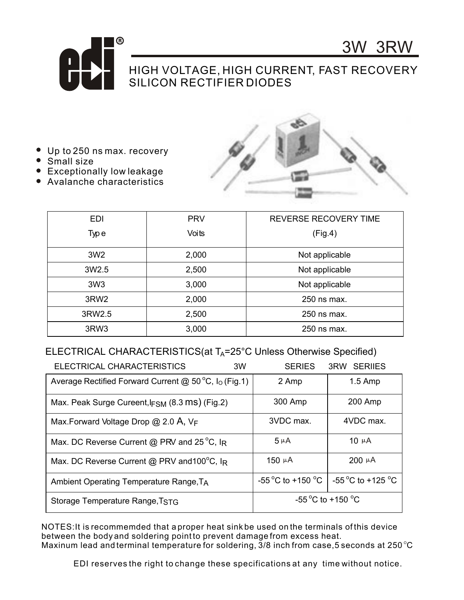

## HIGH VOLTAGE, HIGH CURRENT, FAST RECOVERY SILICON RECTIFIER DIODES

- Up to 250 ns max. recovery
- Small size
- **Exceptionally low leakage**
- Avalanche characteristics



3W 3RW

| <b>EDI</b>       | <b>PRV</b> | <b>REVERSE RECOVERY TIME</b> |  |  |
|------------------|------------|------------------------------|--|--|
| Type             | Voits      | (Fig.4)                      |  |  |
| 3W <sub>2</sub>  | 2,000      | Not applicable               |  |  |
| 3W2.5            | 2,500      | Not applicable               |  |  |
| 3W3              | 3,000      | Not applicable               |  |  |
| 3RW <sub>2</sub> | 2,000      | 250 ns max.                  |  |  |
| 3RW2.5           | 2,500      | 250 ns max.                  |  |  |
| 3RW <sub>3</sub> | 3,000      | 250 ns max.                  |  |  |

## ELECTRICAL CHARACTERISTICS(at  $T_A = 25^\circ$ C Unless Otherwise Specified)

| ELECTRICAL CHARACTERISTICS<br>3W                                           |  | <b>SERIES</b>     | <b>3RW SERILES</b>                          |  |
|----------------------------------------------------------------------------|--|-------------------|---------------------------------------------|--|
| Average Rectified Forward Current @ 50 $\degree$ C, I <sub>o</sub> (Fig.1) |  | 2 Amp             | $1.5$ Amp                                   |  |
| Max. Peak Surge Cureent, $F_{SM}$ (8.3 ms) (Fig.2)                         |  | 300 Amp           | 200 Amp                                     |  |
| Max. Forward Voltage Drop $@$ 2.0 A, $V_F$                                 |  | 3VDC max.         | 4VDC max.                                   |  |
| Max. DC Reverse Current @ PRV and 25 °C, IR                                |  | $5 \mu A$         | 10 $\mu$ A                                  |  |
| Max. DC Reverse Current @ PRV and 100°C, IR                                |  | 150 $\mu$ A       | $200 \mu A$                                 |  |
| Ambient Operating Temperature Range, TA                                    |  |                   | -55 °C to +150 °C $\vert$ -55 °C to +125 °C |  |
| Storage Temperature Range, TSTG                                            |  | -55 °C to +150 °C |                                             |  |

NOTES:It is recommemded that a proper heat sink be used on the terminals of this device between the body and soldering point to prevent damage from excess heat. Maxinum lead and terminal temperature for soldering,  $3/8$  inch from case, 5 seconds at 250 °C

EDI reserves the right to change these specifications at any time without notice.